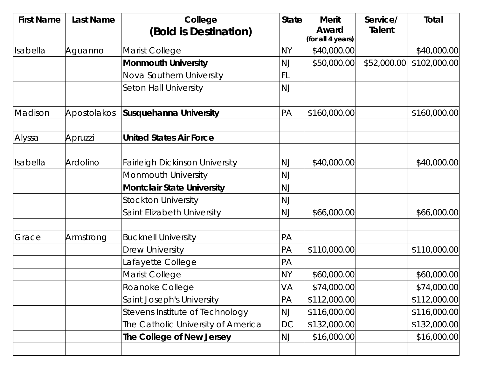| <b>First Name</b> | <b>Last Name</b> | College<br>(Bold is Destination)      | <b>State</b> | <b>Merit</b><br>Award | Service/<br><b>Talent</b> | Total        |
|-------------------|------------------|---------------------------------------|--------------|-----------------------|---------------------------|--------------|
|                   |                  |                                       |              | (for all 4 years)     |                           |              |
| Isabella          | Aguanno          | <b>Marist College</b>                 | <b>NY</b>    | \$40,000.00           |                           | \$40,000.00  |
|                   |                  | <b>Monmouth University</b>            | <b>NJ</b>    | \$50,000.00           | \$52,000.00               | \$102,000.00 |
|                   |                  | Nova Southern University              | <b>FL</b>    |                       |                           |              |
|                   |                  | <b>Seton Hall University</b>          | <b>NJ</b>    |                       |                           |              |
| Madison           | Apostolakos      | <b>Susquehanna University</b>         | PA           | \$160,000.00          |                           | \$160,000.00 |
| Alyssa            | Apruzzi          | <b>United States Air Force</b>        |              |                       |                           |              |
| Isabella          | <b>Ardolino</b>  | <b>Fairleigh Dickinson University</b> | <b>NJ</b>    | \$40,000.00           |                           | \$40,000.00  |
|                   |                  | <b>Monmouth University</b>            | <b>NJ</b>    |                       |                           |              |
|                   |                  | <b>Montclair State University</b>     | <b>NJ</b>    |                       |                           |              |
|                   |                  | <b>Stockton University</b>            | <b>NJ</b>    |                       |                           |              |
|                   |                  | Saint Elizabeth University            | <b>NJ</b>    | \$66,000.00           |                           | \$66,000.00  |
| Grace             | Armstrong        | <b>Bucknell University</b>            | PA           |                       |                           |              |
|                   |                  | <b>Drew University</b>                | PA           | \$110,000.00          |                           | \$110,000.00 |
|                   |                  | Lafayette College                     | PA           |                       |                           |              |
|                   |                  | Marist College                        | <b>NY</b>    | \$60,000.00           |                           | \$60,000.00  |
|                   |                  | Roanoke College                       | VA           | \$74,000.00           |                           | \$74,000.00  |
|                   |                  | Saint Joseph's University             | PA           | \$112,000.00          |                           | \$112,000.00 |
|                   |                  | Stevens Institute of Technology       | <b>NJ</b>    | \$116,000.00          |                           | \$116,000.00 |
|                   |                  | The Catholic University of America    | DC           | \$132,000.00          |                           | \$132,000.00 |
|                   |                  | The College of New Jersey             | <b>NJ</b>    | \$16,000.00           |                           | \$16,000.00  |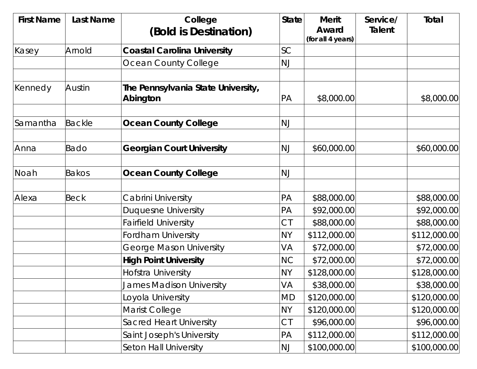| <b>First Name</b> | <b>Last Name</b> | College<br>(Bold is Destination)               | <b>State</b>           | <b>Merit</b><br>Award | Service/<br><b>Talent</b> | <b>Total</b> |
|-------------------|------------------|------------------------------------------------|------------------------|-----------------------|---------------------------|--------------|
|                   |                  |                                                |                        | (for all 4 years)     |                           |              |
| Kasey             | Arnold           | <b>Coastal Carolina University</b>             | <b>SC</b>              |                       |                           |              |
|                   |                  | Ocean County College                           | NJ                     |                       |                           |              |
| Kennedy           | Austin           | The Pennsylvania State University,<br>Abington | PA                     | \$8,000.00            |                           | \$8,000.00   |
| Samantha          | <b>Backle</b>    | <b>Ocean County College</b>                    | <b>NJ</b>              |                       |                           |              |
| Anna              | <b>Bado</b>      | <b>Georgian Court University</b>               | <b>NJ</b>              | \$60,000.00           |                           | \$60,000.00  |
| Noah              | <b>Bakos</b>     | <b>Ocean County College</b>                    | <b>NJ</b>              |                       |                           |              |
| Alexa             | <b>Beck</b>      | Cabrini University                             | PA                     | \$88,000.00           |                           | \$88,000.00  |
|                   |                  | <b>Duquesne University</b>                     | PA                     | \$92,000.00           |                           | \$92,000.00  |
|                   |                  | <b>Fairfield University</b>                    | C <sub>T</sub>         | \$88,000.00           |                           | \$88,000.00  |
|                   |                  | <b>Fordham University</b>                      | <b>NY</b>              | \$112,000.00          |                           | \$112,000.00 |
|                   |                  | <b>George Mason University</b>                 | VA                     | \$72,000.00           |                           | \$72,000.00  |
|                   |                  | <b>High Point University</b>                   | <b>NC</b>              | \$72,000.00           |                           | \$72,000.00  |
|                   |                  | Hofstra University                             | <b>NY</b>              | \$128,000.00          |                           | \$128,000.00 |
|                   |                  | <b>James Madison University</b>                | VA                     | \$38,000.00           |                           | \$38,000.00  |
|                   |                  | Loyola University                              | <b>MD</b>              | \$120,000.00          |                           | \$120,000.00 |
|                   |                  | Marist College                                 | <b>NY</b>              | \$120,000.00          |                           | \$120,000.00 |
|                   |                  | <b>Sacred Heart University</b>                 | $\mathsf{C}\mathsf{T}$ | \$96,000.00           |                           | \$96,000.00  |
|                   |                  | Saint Joseph's University                      | PA                     | \$112,000.00          |                           | \$112,000.00 |
|                   |                  | <b>Seton Hall University</b>                   | <b>NJ</b>              | \$100,000.00          |                           | \$100,000.00 |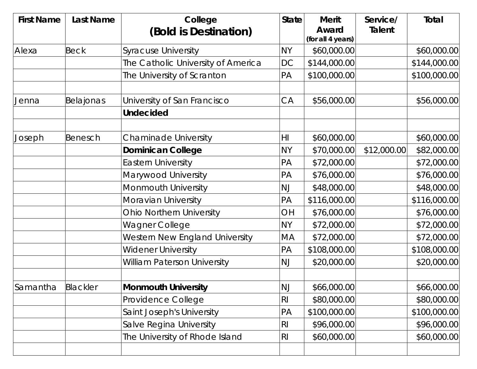| <b>First Name</b> | <b>Last Name</b> | College<br>(Bold is Destination)   | <b>State</b>   | <b>Merit</b><br>Award | Service/<br><b>Talent</b> | Total        |
|-------------------|------------------|------------------------------------|----------------|-----------------------|---------------------------|--------------|
|                   |                  |                                    |                | (for all 4 years)     |                           |              |
| Alexa             | <b>Beck</b>      | <b>Syracuse University</b>         | <b>NY</b>      | \$60,000.00           |                           | \$60,000.00  |
|                   |                  | The Catholic University of America | DC             | \$144,000.00          |                           | \$144,000.00 |
|                   |                  | The University of Scranton         | PA             | \$100,000.00          |                           | \$100,000.00 |
| Jenna             | Belajonas        | University of San Francisco        | CA             | \$56,000.00           |                           | \$56,000.00  |
|                   |                  | <b>Undecided</b>                   |                |                       |                           |              |
| Joseph            | Benesch          | <b>Chaminade University</b>        | H <sub>l</sub> | \$60,000.00           |                           | \$60,000.00  |
|                   |                  | <b>Dominican College</b>           | <b>NY</b>      | \$70,000.00           | \$12,000.00               | \$82,000.00  |
|                   |                  | <b>Eastern University</b>          | PA             | \$72,000.00           |                           | \$72,000.00  |
|                   |                  | Marywood University                | PA             | \$76,000.00           |                           | \$76,000.00  |
|                   |                  | Monmouth University                | <b>NJ</b>      | \$48,000.00           |                           | \$48,000.00  |
|                   |                  | Moravian University                | PA             | \$116,000.00          |                           | \$116,000.00 |
|                   |                  | <b>Ohio Northern University</b>    | OH             | \$76,000.00           |                           | \$76,000.00  |
|                   |                  | Wagner College                     | <b>NY</b>      | \$72,000.00           |                           | \$72,000.00  |
|                   |                  | Western New England University     | MA             | \$72,000.00           |                           | \$72,000.00  |
|                   |                  | <b>Widener University</b>          | PA             | \$108,000.00          |                           | \$108,000.00 |
|                   |                  | <b>William Paterson University</b> | <b>NJ</b>      | \$20,000.00           |                           | \$20,000.00  |
| Samantha          | Blackler         | <b>Monmouth University</b>         | <b>NJ</b>      | \$66,000.00           |                           | \$66,000.00  |
|                   |                  | Providence College                 | R <sub>l</sub> | \$80,000.00           |                           | \$80,000.00  |
|                   |                  | Saint Joseph's University          | PA             | \$100,000.00          |                           | \$100,000.00 |
|                   |                  | Salve Regina University            | R <sub>l</sub> | \$96,000.00           |                           | \$96,000.00  |
|                   |                  | The University of Rhode Island     | R <sub>l</sub> | \$60,000.00           |                           | \$60,000.00  |
|                   |                  |                                    |                |                       |                           |              |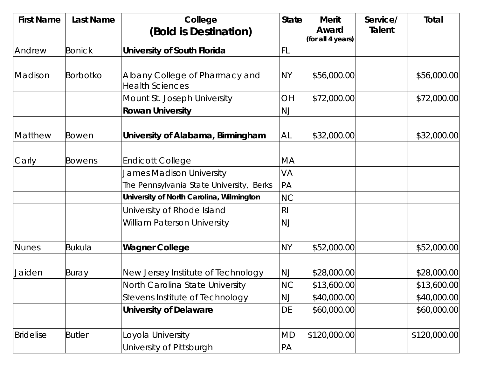| <b>First Name</b> | Last Name     | College                                                  | <b>State</b>   | <b>Merit</b>               | Service/      | Total        |
|-------------------|---------------|----------------------------------------------------------|----------------|----------------------------|---------------|--------------|
|                   |               | (Bold is Destination)                                    |                | Award<br>(for all 4 years) | <b>Talent</b> |              |
| Andrew            | <b>Bonick</b> | University of South Florida                              | FL             |                            |               |              |
|                   |               |                                                          |                |                            |               |              |
| Madison           | Borbotko      | Albany College of Pharmacy and<br><b>Health Sciences</b> | <b>NY</b>      | \$56,000.00                |               | \$56,000.00  |
|                   |               | Mount St. Joseph University                              | OH             | \$72,000.00                |               | \$72,000.00  |
|                   |               | <b>Rowan University</b>                                  | <b>NJ</b>      |                            |               |              |
| Matthew           | Bowen         | University of Alabama, Birmingham                        | <b>AL</b>      | \$32,000.00                |               | \$32,000.00  |
| Carly             | <b>Bowens</b> | <b>Endicott College</b>                                  | MA             |                            |               |              |
|                   |               | James Madison University                                 | VA             |                            |               |              |
|                   |               | The Pennsylvania State University, Berks                 | PA             |                            |               |              |
|                   |               | University of North Carolina, Wilmington                 | <b>NC</b>      |                            |               |              |
|                   |               | University of Rhode Island                               | R <sub>l</sub> |                            |               |              |
|                   |               | <b>William Paterson University</b>                       | <b>NJ</b>      |                            |               |              |
| Nunes             | <b>Bukula</b> | <b>Wagner College</b>                                    | <b>NY</b>      | \$52,000.00                |               | \$52,000.00  |
| Jaiden            | Buray         | New Jersey Institute of Technology                       | <b>NJ</b>      | \$28,000.00                |               | \$28,000.00  |
|                   |               | North Carolina State University                          | <b>NC</b>      | \$13,600.00                |               | \$13,600.00  |
|                   |               | Stevens Institute of Technology                          | <b>NJ</b>      | \$40,000.00                |               | \$40,000.00  |
|                   |               | <b>University of Delaware</b>                            | DE             | \$60,000.00                |               | \$60,000.00  |
| <b>Bridelise</b>  | <b>Butler</b> | Loyola University                                        | <b>MD</b>      | \$120,000.00               |               | \$120,000.00 |
|                   |               | University of Pittsburgh                                 | PA             |                            |               |              |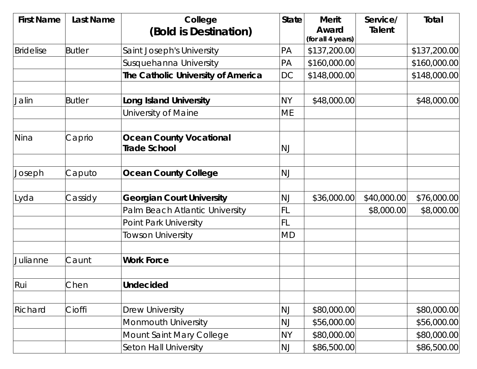| <b>First Name</b> | <b>Last Name</b> | College                                               | <b>State</b> | <b>Merit</b>               | Service/    | Total        |
|-------------------|------------------|-------------------------------------------------------|--------------|----------------------------|-------------|--------------|
|                   |                  | (Bold is Destination)                                 |              | Award<br>(for all 4 years) | Talent      |              |
| <b>Bridelise</b>  | <b>Butler</b>    | Saint Joseph's University                             | PA           | \$137,200.00               |             | \$137,200.00 |
|                   |                  | Susquehanna University                                | PA           | \$160,000.00               |             | \$160,000.00 |
|                   |                  | The Catholic University of America                    | DC           | \$148,000.00               |             | \$148,000.00 |
| Jalin             | <b>Butler</b>    | <b>Long Island University</b>                         | NY           | \$48,000.00                |             | \$48,000.00  |
|                   |                  | University of Maine                                   | ME           |                            |             |              |
| Nina              | Caprio           | <b>Ocean County Vocational</b><br><b>Trade School</b> | <b>NJ</b>    |                            |             |              |
| Joseph            | Caputo           | <b>Ocean County College</b>                           | <b>NJ</b>    |                            |             |              |
| Lyda              | Cassidy          | <b>Georgian Court University</b>                      | <b>NJ</b>    | \$36,000.00                | \$40,000.00 | \$76,000.00  |
|                   |                  | Palm Beach Atlantic University                        | <b>FL</b>    |                            | \$8,000.00  | \$8,000.00   |
|                   |                  | <b>Point Park University</b>                          | <b>FL</b>    |                            |             |              |
|                   |                  | Towson University                                     | <b>MD</b>    |                            |             |              |
| Julianne          | Caunt            | <b>Work Force</b>                                     |              |                            |             |              |
| Rui               | Chen             | <b>Undecided</b>                                      |              |                            |             |              |
| Richard           | Cioffi           | <b>Drew University</b>                                | NJ           | \$80,000.00                |             | \$80,000.00  |
|                   |                  | Monmouth University                                   | <b>NJ</b>    | \$56,000.00                |             | \$56,000.00  |
|                   |                  | Mount Saint Mary College                              | <b>NY</b>    | \$80,000.00                |             | \$80,000.00  |
|                   |                  | Seton Hall University                                 | <b>NJ</b>    | \$86,500.00                |             | \$86,500.00  |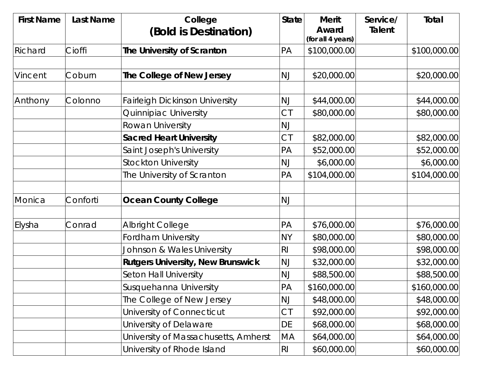| <b>First Name</b> | <b>Last Name</b> | College                                  | <b>State</b>   | <b>Merit</b><br>Award | Service/<br>Talent | <b>Total</b> |
|-------------------|------------------|------------------------------------------|----------------|-----------------------|--------------------|--------------|
|                   |                  | (Bold is Destination)                    |                | (for all 4 years)     |                    |              |
| Richard           | Cioffi           | The University of Scranton               | PA             | \$100,000.00          |                    | \$100,000.00 |
|                   |                  |                                          |                |                       |                    |              |
| Vincent           | Coburn           | The College of New Jersey                | <b>NJ</b>      | \$20,000.00           |                    | \$20,000.00  |
| Anthony           | Colonno          | <b>Fairleigh Dickinson University</b>    | <b>NJ</b>      | \$44,000.00           |                    | \$44,000.00  |
|                   |                  | Quinnipiac University                    | CI             | \$80,000.00           |                    | \$80,000.00  |
|                   |                  | Rowan University                         | <b>NJ</b>      |                       |                    |              |
|                   |                  | <b>Sacred Heart University</b>           | СT             | \$82,000.00           |                    | \$82,000.00  |
|                   |                  | Saint Joseph's University                | PA             | \$52,000.00           |                    | \$52,000.00  |
|                   |                  | <b>Stockton University</b>               | <b>NJ</b>      | \$6,000.00            |                    | \$6,000.00   |
|                   |                  | The University of Scranton               | PA             | \$104,000.00          |                    | \$104,000.00 |
| Monica            | Conforti         | <b>Ocean County College</b>              | <b>NJ</b>      |                       |                    |              |
| Elysha            | Conrad           | <b>Albright College</b>                  | PA             | \$76,000.00           |                    | \$76,000.00  |
|                   |                  | <b>Fordham University</b>                | <b>NY</b>      | \$80,000.00           |                    | \$80,000.00  |
|                   |                  | Johnson & Wales University               | R <sub>l</sub> | \$98,000.00           |                    | \$98,000.00  |
|                   |                  | <b>Rutgers University, New Brunswick</b> | <b>NJ</b>      | \$32,000.00           |                    | \$32,000.00  |
|                   |                  | Seton Hall University                    | <b>NJ</b>      | \$88,500.00           |                    | \$88,500.00  |
|                   |                  | Susquehanna University                   | PA             | \$160,000.00          |                    | \$160,000.00 |
|                   |                  | The College of New Jersey                | NJ             | \$48,000.00           |                    | \$48,000.00  |
|                   |                  | University of Connecticut                | CI             | \$92,000.00           |                    | \$92,000.00  |
|                   |                  | University of Delaware                   | DE             | \$68,000.00           |                    | \$68,000.00  |
|                   |                  | University of Massachusetts, Amherst     | МA             | \$64,000.00           |                    | \$64,000.00  |
|                   |                  | University of Rhode Island               | R <sub>l</sub> | \$60,000.00           |                    | \$60,000.00  |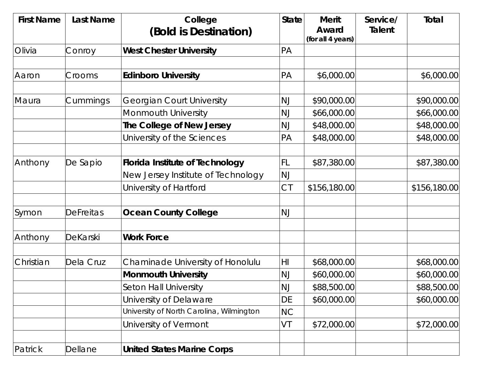| <b>First Name</b> | <b>Last Name</b> | College<br>(Bold is Destination)         | <b>State</b> | <b>Merit</b><br>Award | Service/<br><b>Talent</b> | Total        |
|-------------------|------------------|------------------------------------------|--------------|-----------------------|---------------------------|--------------|
|                   |                  |                                          |              | (for all 4 years)     |                           |              |
| Olivia            | Conroy           | <b>West Chester University</b>           | PA           |                       |                           |              |
|                   |                  |                                          |              |                       |                           |              |
| Aaron             | Crooms           | <b>Edinboro University</b>               | PA           | \$6,000.00            |                           | \$6,000.00]  |
| Maura             | Cummings         | <b>Georgian Court University</b>         | <b>NJ</b>    | \$90,000.00           |                           | \$90,000.00  |
|                   |                  | <b>Monmouth University</b>               | <b>NJ</b>    | \$66,000.00           |                           | \$66,000.00  |
|                   |                  | The College of New Jersey                | <b>NJ</b>    | \$48,000.00           |                           | \$48,000.00  |
|                   |                  | University of the Sciences               | PA           | \$48,000.00           |                           | \$48,000.00  |
| Anthony           | De Sapio         | <b>Florida Institute of Technology</b>   | FL.          | \$87,380.00           |                           | \$87,380.00  |
|                   |                  | New Jersey Institute of Technology       | <b>NJ</b>    |                       |                           |              |
|                   |                  | University of Hartford                   | <b>CT</b>    | \$156,180.00          |                           | \$156,180.00 |
| Symon             | <b>DeFreitas</b> | <b>Ocean County College</b>              | <b>NJ</b>    |                       |                           |              |
| Anthony           | DeKarski         | <b>Work Force</b>                        |              |                       |                           |              |
| Christian         | Dela Cruz        | Chaminade University of Honolulu         | H            | \$68,000.00           |                           | \$68,000.00  |
|                   |                  | <b>Monmouth University</b>               | <b>NJ</b>    | \$60,000.00           |                           | \$60,000.00  |
|                   |                  | <b>Seton Hall University</b>             | <b>NJ</b>    | \$88,500.00           |                           | \$88,500.00  |
|                   |                  | University of Delaware                   | DE           | \$60,000.00           |                           | \$60,000.00  |
|                   |                  | University of North Carolina, Wilmington | <b>NC</b>    |                       |                           |              |
|                   |                  | University of Vermont                    | VT           | \$72,000.00           |                           | \$72,000.00  |
| Patrick           | Dellane          | <b>United States Marine Corps</b>        |              |                       |                           |              |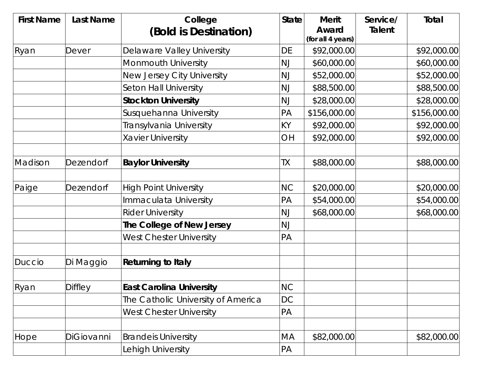| <b>First Name</b> | <b>Last Name</b> | College                            | <b>State</b> | <b>Merit</b>               | Service/ | Total        |
|-------------------|------------------|------------------------------------|--------------|----------------------------|----------|--------------|
|                   |                  | (Bold is Destination)              |              | Award<br>(for all 4 years) | Talent   |              |
| Ryan              | Dever            | Delaware Valley University         | DE           | \$92,000.00                |          | \$92,000.00  |
|                   |                  | Monmouth University                | <b>NJ</b>    | \$60,000.00                |          | \$60,000.00  |
|                   |                  | New Jersey City University         | <b>NJ</b>    | \$52,000.00                |          | \$52,000.00  |
|                   |                  | Seton Hall University              | <b>NJ</b>    | \$88,500.00                |          | \$88,500.00  |
|                   |                  | <b>Stockton University</b>         | <b>NJ</b>    | \$28,000.00                |          | \$28,000.00  |
|                   |                  | Susquehanna University             | PA           | \$156,000.00               |          | \$156,000.00 |
|                   |                  | Transylvania University            | KY           | \$92,000.00                |          | \$92,000.00  |
|                   |                  | <b>Xavier University</b>           | OH           | \$92,000.00                |          | \$92,000.00  |
| Madison           | <b>Dezendorf</b> | <b>Baylor University</b>           | TX           | \$88,000.00                |          | \$88,000.00  |
| Paige             | <b>Dezendorf</b> | <b>High Point University</b>       | <b>NC</b>    | \$20,000.00                |          | \$20,000.00  |
|                   |                  | Immaculata University              | PA           | \$54,000.00                |          | \$54,000.00  |
|                   |                  | <b>Rider University</b>            | NJ           | \$68,000.00                |          | \$68,000.00  |
|                   |                  | The College of New Jersey          | <b>NJ</b>    |                            |          |              |
|                   |                  | <b>West Chester University</b>     | PA           |                            |          |              |
| Duccio            | Di Maggio        | <b>Returning to Italy</b>          |              |                            |          |              |
| Ryan              | <b>Diffley</b>   | <b>East Carolina University</b>    | <b>NC</b>    |                            |          |              |
|                   |                  | The Catholic University of America | DC           |                            |          |              |
|                   |                  | <b>West Chester University</b>     | PA           |                            |          |              |
| Hope              | DiGiovanni       | <b>Brandels University</b>         | МA           | \$82,000.00                |          | \$82,000.00  |
|                   |                  | Lehigh University                  | PA           |                            |          |              |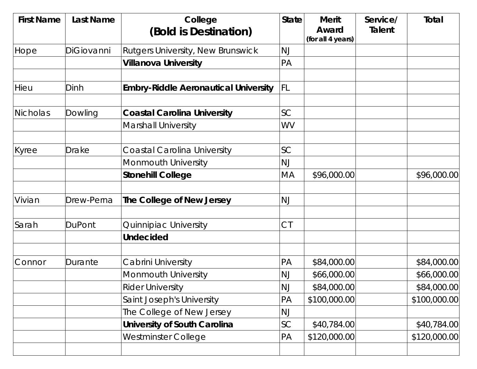| <b>First Name</b> | <b>Last Name</b> | College                                     | <b>State</b> | <b>Merit</b>               | Service/ | Total        |
|-------------------|------------------|---------------------------------------------|--------------|----------------------------|----------|--------------|
|                   |                  | (Bold is Destination)                       |              | Award<br>(for all 4 years) | Talent   |              |
| Hope              | DiGiovanni       | Rutgers University, New Brunswick           | <b>NJ</b>    |                            |          |              |
|                   |                  | <b>Villanova University</b>                 | PA           |                            |          |              |
| Hieu              | Dinh             | <b>Embry-Riddle Aeronautical University</b> | <b>FL</b>    |                            |          |              |
| Nicholas          | Dowling          | <b>Coastal Carolina University</b>          | SC           |                            |          |              |
|                   |                  | <b>Marshall University</b>                  | WV           |                            |          |              |
| Kyree             | Drake            | <b>Coastal Carolina University</b>          | SC           |                            |          |              |
|                   |                  | Monmouth University                         | <b>NJ</b>    |                            |          |              |
|                   |                  | <b>Stonehill College</b>                    | <b>MA</b>    | \$96,000.00                |          | \$96,000.00  |
| Vivian            | Drew-Perna       | The College of New Jersey                   | <b>NJ</b>    |                            |          |              |
| Sarah             | <b>DuPont</b>    | Quinnipiac University                       | CI           |                            |          |              |
|                   |                  | <b>Undecided</b>                            |              |                            |          |              |
| Connor            | Durante          | Cabrini University                          | PA           | \$84,000.00                |          | \$84,000.00  |
|                   |                  | <b>Monmouth University</b>                  | <b>NJ</b>    | \$66,000.00                |          | \$66,000.00  |
|                   |                  | <b>Rider University</b>                     | <b>NJ</b>    | \$84,000.00                |          | \$84,000.00  |
|                   |                  | Saint Joseph's University                   | PA           | \$100,000.00               |          | \$100,000.00 |
|                   |                  | The College of New Jersey                   | <b>NJ</b>    |                            |          |              |
|                   |                  | University of South Carolina                | SC           | \$40,784.00                |          | \$40,784.00  |
|                   |                  | Westminster College                         | PA           | \$120,000.00               |          | \$120,000.00 |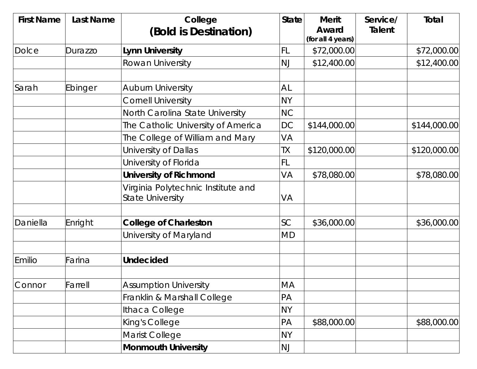| <b>First Name</b> | <b>Last Name</b> | College                                                       | <b>State</b> | <b>Merit</b>               | Service/ | Total        |
|-------------------|------------------|---------------------------------------------------------------|--------------|----------------------------|----------|--------------|
|                   |                  | (Bold is Destination)                                         |              | Award<br>(for all 4 years) | Talent   |              |
| Dolce             | Durazzo          | <b>Lynn University</b>                                        | <b>FL</b>    | \$72,000.00                |          | \$72,000.00  |
|                   |                  | Rowan University                                              | <b>NJ</b>    | \$12,400.00                |          | \$12,400.00  |
| Sarah             | Ebinger          | <b>Auburn University</b>                                      | AL           |                            |          |              |
|                   |                  | <b>Cornell University</b>                                     | <b>NY</b>    |                            |          |              |
|                   |                  | North Carolina State University                               | <b>NC</b>    |                            |          |              |
|                   |                  | The Catholic University of America                            | DC           | \$144,000.00               |          | \$144,000.00 |
|                   |                  | The College of William and Mary                               | VA           |                            |          |              |
|                   |                  | University of Dallas                                          | TΧ           | \$120,000.00               |          | \$120,000.00 |
|                   |                  | University of Florida                                         | FL           |                            |          |              |
|                   |                  | <b>University of Richmond</b>                                 | VA           | \$78,080.00                |          | \$78,080.00  |
|                   |                  | Virginia Polytechnic Institute and<br><b>State University</b> | VA           |                            |          |              |
| Daniella          | Enright          | <b>College of Charleston</b>                                  | <b>SC</b>    | \$36,000.00                |          | \$36,000.00  |
|                   |                  | University of Maryland                                        | MD           |                            |          |              |
| Emilio            | Farina           | <b>Undecided</b>                                              |              |                            |          |              |
| Connor            | arrell           | <b>Assumption University</b>                                  | <b>MA</b>    |                            |          |              |
|                   |                  | Franklin & Marshall College                                   | PA           |                            |          |              |
|                   |                  | Ithaca College                                                | <b>NY</b>    |                            |          |              |
|                   |                  | King's College                                                | PA           | \$88,000.00                |          | \$88,000.00  |
|                   |                  | Marist College                                                | <b>NY</b>    |                            |          |              |
|                   |                  | <b>Monmouth University</b>                                    | NJ           |                            |          |              |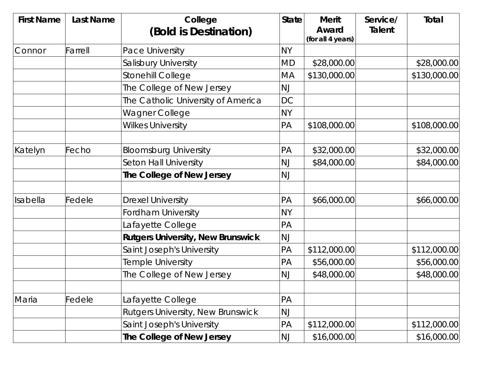| <b>First Name</b> | <b>Last Name</b> | College                                  | <b>State</b> | <b>Merit</b>               | Service/ | Total        |
|-------------------|------------------|------------------------------------------|--------------|----------------------------|----------|--------------|
|                   |                  | (Bold is Destination)                    |              | Award<br>(for all 4 years) | Talent   |              |
| Connor            | Farrell          | Pace University                          | <b>NY</b>    |                            |          |              |
|                   |                  | Salisbury University                     | <b>MD</b>    | \$28,000.00                |          | \$28,000.00  |
|                   |                  | Stonehill College                        | <b>MA</b>    | \$130,000.00               |          | \$130,000.00 |
|                   |                  | The College of New Jersey                | <b>NJ</b>    |                            |          |              |
|                   |                  | The Catholic University of America       | DC           |                            |          |              |
|                   |                  | Wagner College                           | <b>NY</b>    |                            |          |              |
|                   |                  | <b>Wilkes University</b>                 | PA           | \$108,000.00               |          | \$108,000.00 |
| Katelyn           | Fecho            | <b>Bloomsburg University</b>             | PA           | \$32,000.00                |          | \$32,000.00  |
|                   |                  | Seton Hall University                    | <b>NJ</b>    | \$84,000.00                |          | \$84,000.00  |
|                   |                  | The College of New Jersey                | NJ           |                            |          |              |
| Isabella          | Fedele           | <b>Drexel University</b>                 | PA           | \$66,000.00                |          | \$66,000.00  |
|                   |                  | <b>Fordham University</b>                | <b>NY</b>    |                            |          |              |
|                   |                  | Lafayette College                        | PA           |                            |          |              |
|                   |                  | <b>Rutgers University, New Brunswick</b> | <b>NJ</b>    |                            |          |              |
|                   |                  | Saint Joseph's University                | PA           | \$112,000.00               |          | \$112,000.00 |
|                   |                  | Temple University                        | PA           | \$56,000.00                |          | \$56,000.00  |
|                   |                  | The College of New Jersey                | NJ           | \$48,000.00                |          | \$48,000.00  |
| Maria             | Fedele           | Lafayette College                        | PA           |                            |          |              |
|                   |                  | Rutgers University, New Brunswick        | <b>NJ</b>    |                            |          |              |
|                   |                  | Saint Joseph's University                | PA           | \$112,000.00               |          | \$112,000.00 |
|                   |                  | The College of New Jersey                | NJ           | \$16,000.00                |          | \$16,000.00  |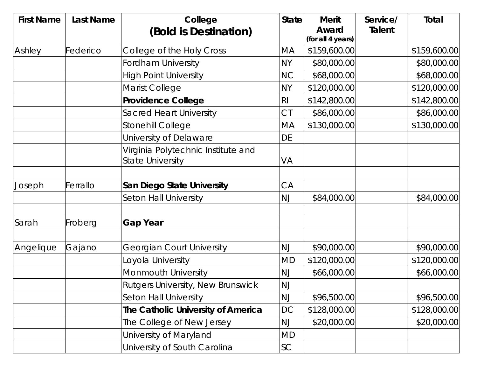| <b>First Name</b> | <b>Last Name</b> | College                                                       | <b>State</b>   | <b>Merit</b>               | Service/ | <b>Total</b> |
|-------------------|------------------|---------------------------------------------------------------|----------------|----------------------------|----------|--------------|
|                   |                  | (Bold is Destination)                                         |                | Award<br>(for all 4 years) | Talent   |              |
| Ashley            | ederico          | College of the Holy Cross                                     | МA             | \$159,600.00               |          | \$159,600.00 |
|                   |                  | <b>Fordham University</b>                                     | <b>NY</b>      | \$80,000.00                |          | \$80,000.00  |
|                   |                  | <b>High Point University</b>                                  | <b>NC</b>      | \$68,000.00                |          | \$68,000.00  |
|                   |                  | Marist College                                                | <b>NY</b>      | \$120,000.00               |          | \$120,000.00 |
|                   |                  | <b>Providence College</b>                                     | R <sub>l</sub> | \$142,800.00               |          | \$142,800.00 |
|                   |                  | <b>Sacred Heart University</b>                                | CI             | \$86,000.00                |          | \$86,000.00  |
|                   |                  | Stonehill College                                             | MA             | \$130,000.00               |          | \$130,000.00 |
|                   |                  | University of Delaware                                        | DE             |                            |          |              |
|                   |                  | Virginia Polytechnic Institute and<br><b>State University</b> | VA             |                            |          |              |
|                   |                  |                                                               |                |                            |          |              |
| Joseph            | Ferrallo         | San Diego State University                                    | CA             |                            |          |              |
|                   |                  | <b>Seton Hall University</b>                                  | <b>NJ</b>      | \$84,000.00                |          | \$84,000.00  |
| Sarah             | Froberg          | <b>Gap Year</b>                                               |                |                            |          |              |
| Angelique         | Gajano           | <b>Georgian Court University</b>                              | <b>NJ</b>      | \$90,000.00                |          | \$90,000.00  |
|                   |                  | Loyola University                                             | <b>MD</b>      | \$120,000.00               |          | \$120,000.00 |
|                   |                  | <b>Monmouth University</b>                                    | <b>NJ</b>      | \$66,000.00                |          | \$66,000.00  |
|                   |                  | Rutgers University, New Brunswick                             | <b>NJ</b>      |                            |          |              |
|                   |                  | <b>Seton Hall University</b>                                  | <b>NJ</b>      | \$96,500.00                |          | \$96,500.00  |
|                   |                  | The Catholic University of America                            | DC             | \$128,000.00               |          | \$128,000.00 |
|                   |                  | The College of New Jersey                                     | <b>NJ</b>      | \$20,000.00                |          | \$20,000.00  |
|                   |                  | University of Maryland                                        | <b>MD</b>      |                            |          |              |
|                   |                  | University of South Carolina                                  | SC             |                            |          |              |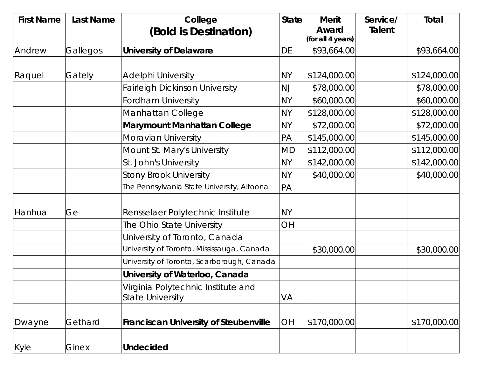| <b>First Name</b> | <b>Last Name</b> | College<br>(Bold is Destination)                              | <b>State</b> | <b>Merit</b><br>Award | Service/<br>Talent | Total        |
|-------------------|------------------|---------------------------------------------------------------|--------------|-----------------------|--------------------|--------------|
|                   |                  |                                                               |              | (for all 4 years)     |                    |              |
| Andrew            | Gallegos         | <b>University of Delaware</b>                                 | <b>DE</b>    | \$93,664.00           |                    | \$93,664.00  |
|                   |                  |                                                               |              |                       |                    |              |
| Raquel            | Gately           | <b>Adelphi University</b>                                     | <b>NY</b>    | \$124,000.00          |                    | \$124,000.00 |
|                   |                  | <b>Fairleigh Dickinson University</b>                         | NJ           | \$78,000.00           |                    | \$78,000.00  |
|                   |                  | <b>Fordham University</b>                                     | <b>NY</b>    | \$60,000.00           |                    | \$60,000.00  |
|                   |                  | Manhattan College                                             | <b>NY</b>    | \$128,000.00          |                    | \$128,000.00 |
|                   |                  | <b>Marymount Manhattan College</b>                            | <b>NY</b>    | \$72,000.00           |                    | \$72,000.00  |
|                   |                  | Moravian University                                           | PA           | \$145,000.00          |                    | \$145,000.00 |
|                   |                  | Mount St. Mary's University                                   | <b>MD</b>    | \$112,000.00          |                    | \$112,000.00 |
|                   |                  | St. John's University                                         | <b>NY</b>    | \$142,000.00          |                    | \$142,000.00 |
|                   |                  | <b>Stony Brook University</b>                                 | <b>NY</b>    | \$40,000.00           |                    | \$40,000.00  |
|                   |                  | The Pennsylvania State University, Altoona                    | PA           |                       |                    |              |
| Hanhua            | Ge               | Rensselaer Polytechnic Institute                              | <b>NY</b>    |                       |                    |              |
|                   |                  | The Ohio State University                                     | OH           |                       |                    |              |
|                   |                  | University of Toronto, Canada                                 |              |                       |                    |              |
|                   |                  | University of Toronto, Mississauga, Canada                    |              | \$30,000.00           |                    | \$30,000.00  |
|                   |                  | University of Toronto, Scarborough, Canada                    |              |                       |                    |              |
|                   |                  | University of Waterloo, Canada                                |              |                       |                    |              |
|                   |                  | Virginia Polytechnic Institute and<br><b>State University</b> | VA           |                       |                    |              |
| Dwayne            | Gethard          | <b>Franciscan University of Steubenville</b>                  | OH           | \$170,000.00          |                    | \$170,000.00 |
| Kyle              | Ginex            | <b>Undecided</b>                                              |              |                       |                    |              |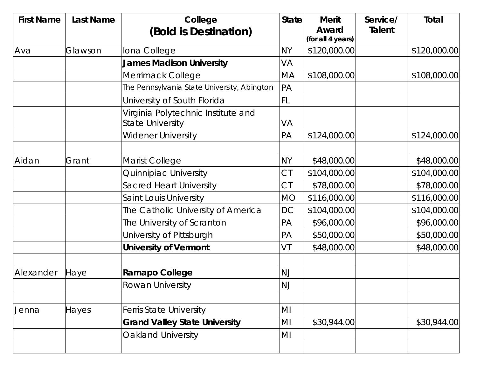| <b>First Name</b> | <b>Last Name</b> | College                                                       | <b>State</b> | <b>Merit</b>               | Service/ | Total        |
|-------------------|------------------|---------------------------------------------------------------|--------------|----------------------------|----------|--------------|
|                   |                  | (Bold is Destination)                                         |              | Award<br>(for all 4 years) | Talent   |              |
| Ava               | Glawson          | Iona College                                                  | <b>NY</b>    | \$120,000.00               |          | \$120,000.00 |
|                   |                  | <b>James Madison University</b>                               | VA           |                            |          |              |
|                   |                  | Merrimack College                                             | МA           | \$108,000.00               |          | \$108,000.00 |
|                   |                  | The Pennsylvania State University, Abington                   | PA           |                            |          |              |
|                   |                  | University of South Florida                                   | <b>FL</b>    |                            |          |              |
|                   |                  | Virginia Polytechnic Institute and<br><b>State University</b> | VA           |                            |          |              |
|                   |                  | <b>Widener University</b>                                     | PA           | \$124,000.00               |          | \$124,000.00 |
|                   |                  |                                                               |              |                            |          |              |
| Aidan             | Grant            | Marist College                                                | <b>NY</b>    | \$48,000.00                |          | \$48,000.00  |
|                   |                  | Quinnipiac University                                         | CI           | \$104,000.00               |          | \$104,000.00 |
|                   |                  | <b>Sacred Heart University</b>                                | <b>CT</b>    | \$78,000.00                |          | \$78,000.00  |
|                   |                  | Saint Louis University                                        | <b>MO</b>    | \$116,000.00               |          | \$116,000.00 |
|                   |                  | The Catholic University of America                            | DC           | \$104,000.00               |          | \$104,000.00 |
|                   |                  | The University of Scranton                                    | PA           | \$96,000.00                |          | \$96,000.00  |
|                   |                  | University of Pittsburgh                                      | PA           | \$50,000.00                |          | \$50,000.00  |
|                   |                  | <b>University of Vermont</b>                                  | VT           | \$48,000.00                |          | \$48,000.00  |
| Alexander         | Haye             | Ramapo College                                                | <b>NJ</b>    |                            |          |              |
|                   |                  | Rowan University                                              | <b>NJ</b>    |                            |          |              |
| Jenna             | Hayes            | <b>Ferris State University</b>                                | MI           |                            |          |              |
|                   |                  | <b>Grand Valley State University</b>                          | MI           | \$30,944.00                |          | \$30,944.00  |
|                   |                  | <b>Oakland University</b>                                     | MI           |                            |          |              |
|                   |                  |                                                               |              |                            |          |              |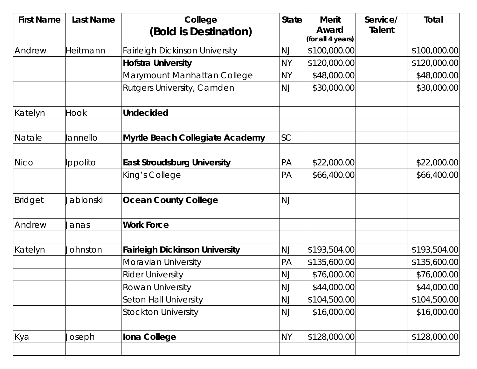| <b>First Name</b> | <b>Last Name</b> | College                                | <b>State</b> | <b>Merit</b>               | Service/      | Total        |
|-------------------|------------------|----------------------------------------|--------------|----------------------------|---------------|--------------|
|                   |                  | (Bold is Destination)                  |              | Award<br>(for all 4 years) | <b>Talent</b> |              |
| Andrew            | Heitmann         | <b>Fairleigh Dickinson University</b>  | <b>NJ</b>    | \$100,000.00               |               | \$100,000.00 |
|                   |                  | <b>Hofstra University</b>              | <b>NY</b>    | \$120,000.00               |               | \$120,000.00 |
|                   |                  | Marymount Manhattan College            | <b>NY</b>    | \$48,000.00                |               | \$48,000.00  |
|                   |                  | Rutgers University, Camden             | <b>NJ</b>    | \$30,000.00                |               | \$30,000.00  |
| Katelyn           | <b>Hook</b>      | <b>Undecided</b>                       |              |                            |               |              |
| Natale            | lannello         | <b>Myrtle Beach Collegiate Academy</b> | SC           |                            |               |              |
| Nico              | Ippolito         | <b>East Stroudsburg University</b>     | PA           | \$22,000.00                |               | \$22,000.00  |
|                   |                  | King's College                         | PA           | \$66,400.00                |               | \$66,400.00  |
| <b>Bridget</b>    | Jablonski        | <b>Ocean County College</b>            | <b>NJ</b>    |                            |               |              |
| Andrew            | Janas            | <b>Work Force</b>                      |              |                            |               |              |
| Katelyn           | Johnston         | <b>Fairleigh Dickinson University</b>  | <b>NJ</b>    | \$193,504.00               |               | \$193,504.00 |
|                   |                  | Moravian University                    | PA           | \$135,600.00               |               | \$135,600.00 |
|                   |                  | <b>Rider University</b>                | <b>NJ</b>    | \$76,000.00                |               | \$76,000.00  |
|                   |                  | Rowan University                       | <b>NJ</b>    | \$44,000.00                |               | \$44,000.00  |
|                   |                  | Seton Hall University                  | <b>NJ</b>    | \$104,500.00               |               | \$104,500.00 |
|                   |                  | <b>Stockton University</b>             | <b>NJ</b>    | \$16,000.00                |               | \$16,000.00  |
| Kya               | Joseph           | Iona College                           | <b>NY</b>    | \$128,000.00               |               | \$128,000.00 |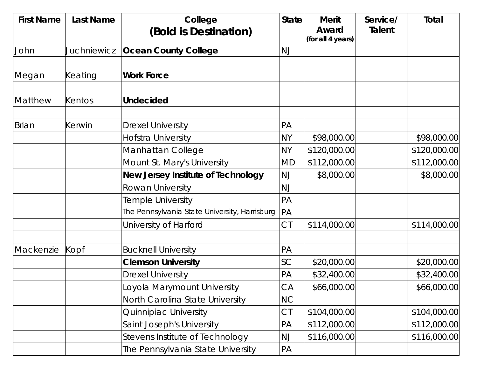| <b>First Name</b> | <b>Last Name</b> | College<br>(Bold is Destination)              | <b>State</b> | <b>Merit</b><br>Award | Service/<br><b>Talent</b> | Total        |
|-------------------|------------------|-----------------------------------------------|--------------|-----------------------|---------------------------|--------------|
|                   |                  |                                               |              | (for all 4 years)     |                           |              |
| John              | Juchniewicz      | <b>Ocean County College</b>                   | NJ           |                       |                           |              |
| Megan             | Keating          | <b>Work Force</b>                             |              |                       |                           |              |
| Matthew           | <b>Kentos</b>    | Undecided                                     |              |                       |                           |              |
|                   |                  |                                               |              |                       |                           |              |
| <b>Brian</b>      | <b>Kerwin</b>    | <b>Drexel University</b>                      | PA           |                       |                           |              |
|                   |                  | Hofstra University                            | <b>NY</b>    | \$98,000.00           |                           | \$98,000.00  |
|                   |                  | Manhattan College                             | <b>NY</b>    | \$120,000.00          |                           | \$120,000.00 |
|                   |                  | Mount St. Mary's University                   | <b>MD</b>    | \$112,000.00          |                           | \$112,000.00 |
|                   |                  | <b>New Jersey Institute of Technology</b>     | <b>NJ</b>    | \$8,000.00            |                           | \$8,000.00   |
|                   |                  | Rowan University                              | <b>NJ</b>    |                       |                           |              |
|                   |                  | <b>Temple University</b>                      | PA           |                       |                           |              |
|                   |                  | The Pennsylvania State University, Harrisburg | PA           |                       |                           |              |
|                   |                  | University of Harford                         | <b>CT</b>    | \$114,000.00          |                           | \$114,000.00 |
| Mackenzie         | Kopf             | <b>Bucknell University</b>                    | PA           |                       |                           |              |
|                   |                  | <b>Clemson University</b>                     | <b>SC</b>    | \$20,000.00           |                           | \$20,000.00  |
|                   |                  | <b>Drexel University</b>                      | PA           | \$32,400.00           |                           | \$32,400.00  |
|                   |                  | Loyola Marymount University                   | CA           | \$66,000.00           |                           | \$66,000.00  |
|                   |                  | North Carolina State University               | NC           |                       |                           |              |
|                   |                  | Quinnipiac University                         | CI           | \$104,000.00          |                           | \$104,000.00 |
|                   |                  | Saint Joseph's University                     | PA           | \$112,000.00          |                           | \$112,000.00 |
|                   |                  | Stevens Institute of Technology               | <b>NJ</b>    | \$116,000.00          |                           | \$116,000.00 |
|                   |                  | The Pennsylvania State University             | PA           |                       |                           |              |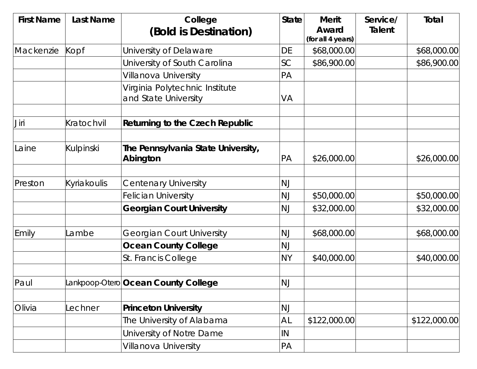| <b>First Name</b> | Last Name   | College                                                | <b>State</b>    | <b>Merit</b><br>Award | Service/<br>Talent | Total        |
|-------------------|-------------|--------------------------------------------------------|-----------------|-----------------------|--------------------|--------------|
|                   |             | (Bold is Destination)                                  |                 | (for all 4 years)     |                    |              |
| Mackenzie         | Kopf        | University of Delaware                                 | DE              | \$68,000.00           |                    | \$68,000.00  |
|                   |             | University of South Carolina                           | SC              | \$86,900.00           |                    | \$86,900.00  |
|                   |             | Villanova University                                   | PA              |                       |                    |              |
|                   |             | Virginia Polytechnic Institute<br>and State University | VA              |                       |                    |              |
| Jiri              | Kratochvil  | <b>Returning to the Czech Republic</b>                 |                 |                       |                    |              |
| Laine             | Kulpinski   | The Pennsylvania State University,<br>Abington         | PA              | \$26,000.00           |                    | \$26,000.00  |
|                   |             |                                                        |                 |                       |                    |              |
| Preston           | Kyriakoulis | <b>Centenary University</b>                            | <b>NJ</b>       |                       |                    |              |
|                   |             | <b>Felician University</b>                             | <b>NJ</b>       | \$50,000.00           |                    | \$50,000.00  |
|                   |             | <b>Georgian Court University</b>                       | <b>NJ</b>       | \$32,000.00           |                    | \$32,000.00  |
| Emily             | ambe        | <b>Georgian Court University</b>                       | <b>NJ</b>       | \$68,000.00           |                    | \$68,000.00  |
|                   |             | <b>Ocean County College</b>                            | <b>NJ</b>       |                       |                    |              |
|                   |             | St. Francis College                                    | <b>NY</b>       | \$40,000.00           |                    | \$40,000.00  |
| Paul              |             | Lankpoop-Otero Ocean County College                    | <b>NJ</b>       |                       |                    |              |
| Olivia            | _echner     | <b>Princeton University</b>                            | <b>NJ</b>       |                       |                    |              |
|                   |             | The University of Alabama                              | AL              | \$122,000.00          |                    | \$122,000.00 |
|                   |             | University of Notre Dame                               | IN              |                       |                    |              |
|                   |             | Villanova University                                   | $\overline{PA}$ |                       |                    |              |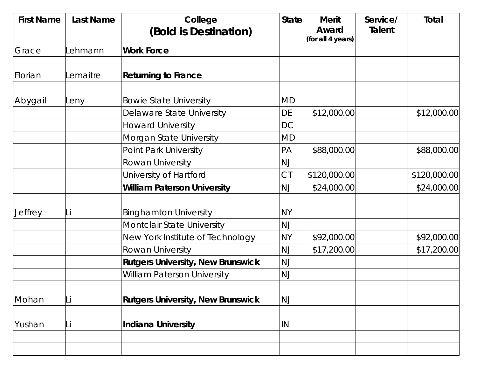| <b>First Name</b> | <b>Last Name</b> | College                                  | <b>State</b> | <b>Merit</b>               | Service/ | Total        |
|-------------------|------------------|------------------------------------------|--------------|----------------------------|----------|--------------|
|                   |                  | (Bold is Destination)                    |              | Award<br>(for all 4 years) | Talent   |              |
| Grace             | ehmann           | <b>Work Force</b>                        |              |                            |          |              |
|                   |                  |                                          |              |                            |          |              |
| Florian           | emaitre          | <b>Returning to France</b>               |              |                            |          |              |
| Abygail           | eny              | <b>Bowie State University</b>            | <b>MD</b>    |                            |          |              |
|                   |                  | Delaware State University                | DE           | \$12,000.00                |          | \$12,000.00  |
|                   |                  | <b>Howard University</b>                 | <b>DC</b>    |                            |          |              |
|                   |                  | Morgan State University                  | <b>MD</b>    |                            |          |              |
|                   |                  | Point Park University                    | PA           | \$88,000.00                |          | \$88,000.00  |
|                   |                  | Rowan University                         | <b>NJ</b>    |                            |          |              |
|                   |                  | University of Hartford                   | <b>CT</b>    | \$120,000.00               |          | \$120,000.00 |
|                   |                  | <b>William Paterson University</b>       | <b>NJ</b>    | \$24,000.00                |          | \$24,000.00  |
| Jeffrey           |                  | <b>Binghamton University</b>             | <b>NY</b>    |                            |          |              |
|                   |                  | Montclair State University               | <b>NJ</b>    |                            |          |              |
|                   |                  | New York Institute of Technology         | <b>NY</b>    | \$92,000.00                |          | \$92,000.00  |
|                   |                  | Rowan University                         | NJ           | \$17,200.00                |          | \$17,200.00  |
|                   |                  | <b>Rutgers University, New Brunswick</b> | <b>NJ</b>    |                            |          |              |
|                   |                  | <b>William Paterson University</b>       | <b>NJ</b>    |                            |          |              |
| Mohan             | Li               | <b>Rutgers University, New Brunswick</b> | <b>NJ</b>    |                            |          |              |
| Yushan            |                  | <b>Indiana University</b>                | IN           |                            |          |              |
|                   |                  |                                          |              |                            |          |              |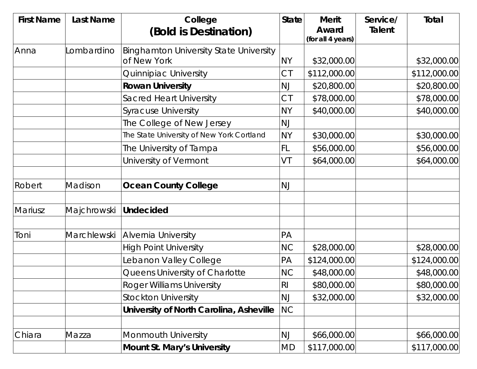| <b>First Name</b> | <b>Last Name</b>   | College                                       | <b>State</b> | <b>Merit</b>               | Service/      | Total        |
|-------------------|--------------------|-----------------------------------------------|--------------|----------------------------|---------------|--------------|
|                   |                    | (Bold is Destination)                         |              | Award<br>(for all 4 years) | <b>Talent</b> |              |
| Anna              | ombardino          | <b>Binghamton University State University</b> |              |                            |               |              |
|                   |                    | of New York                                   | <b>NY</b>    | \$32,000.00                |               | \$32,000.00  |
|                   |                    | Quinnipiac University                         | CI           | \$112,000.00               |               | \$112,000.00 |
|                   |                    | <b>Rowan University</b>                       | <b>NJ</b>    | \$20,800.00                |               | \$20,800.00  |
|                   |                    | Sacred Heart University                       | CI           | \$78,000.00                |               | \$78,000.00  |
|                   |                    | <b>Syracuse University</b>                    | <b>NY</b>    | \$40,000.00                |               | \$40,000.00  |
|                   |                    | The College of New Jersey                     | <b>NJ</b>    |                            |               |              |
|                   |                    | The State University of New York Cortland     | <b>NY</b>    | \$30,000.00                |               | \$30,000.00  |
|                   |                    | The University of Tampa                       | FL.          | \$56,000.00                |               | \$56,000.00  |
|                   |                    | University of Vermont                         | VT           | \$64,000.00                |               | \$64,000.00  |
| Robert            | Madison            | <b>Ocean County College</b>                   | <b>NJ</b>    |                            |               |              |
| Mariusz           | <b>Majchrowski</b> | <b>Undecided</b>                              |              |                            |               |              |
| Toni              | Marchlewski        | Alvernia University                           | PA           |                            |               |              |
|                   |                    | <b>High Point University</b>                  | <b>NC</b>    | \$28,000.00                |               | \$28,000.00  |
|                   |                    | Lebanon Valley College                        | PA           | \$124,000.00               |               | \$124,000.00 |
|                   |                    | Queens University of Charlotte                | NC           | \$48,000.00                |               | \$48,000.00  |
|                   |                    | Roger Williams University                     | <b>RI</b>    | \$80,000.00                |               | \$80,000.00  |
|                   |                    | <b>Stockton University</b>                    | <b>NJ</b>    | \$32,000.00                |               | \$32,000.00  |
|                   |                    | University of North Carolina, Asheville       | <b>NC</b>    |                            |               |              |
| Chiara            | Mazza              | Monmouth University                           | <b>NJ</b>    | \$66,000.00                |               | \$66,000.00  |
|                   |                    | <b>Mount St. Mary's University</b>            | MD           | \$117,000.00               |               | \$117,000.00 |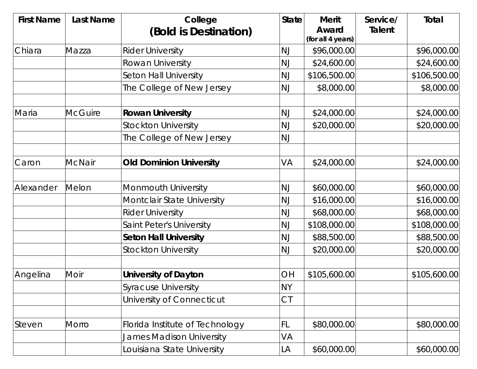| <b>First Name</b> | <b>Last Name</b> | College                         | <b>State</b> | <b>Merit</b>               | Service/      | <b>Total</b> |
|-------------------|------------------|---------------------------------|--------------|----------------------------|---------------|--------------|
|                   |                  | (Bold is Destination)           |              | Award<br>(for all 4 years) | <b>Talent</b> |              |
| Chiara            | Mazza            | <b>Rider University</b>         | <b>NJ</b>    | \$96,000.00                |               | \$96,000.00  |
|                   |                  | Rowan University                | <b>NJ</b>    | \$24,600.00                |               | \$24,600.00  |
|                   |                  | Seton Hall University           | <b>NJ</b>    | \$106,500.00               |               | \$106,500.00 |
|                   |                  | The College of New Jersey       | <b>NJ</b>    | \$8,000.00                 |               | \$8,000.00   |
| Maria             | <b>McGuire</b>   | <b>Rowan University</b>         | <b>NJ</b>    | \$24,000.00                |               | \$24,000.00  |
|                   |                  | <b>Stockton University</b>      | <b>NJ</b>    | \$20,000.00                |               | \$20,000.00  |
|                   |                  | The College of New Jersey       | <b>NJ</b>    |                            |               |              |
| Caron             | McNair           | <b>Old Dominion University</b>  | VA           | \$24,000.00                |               | \$24,000.00  |
| Alexander         | Melon            | Monmouth University             | <b>NJ</b>    | \$60,000.00                |               | \$60,000.00  |
|                   |                  | Montclair State University      | <b>NJ</b>    | \$16,000.00                |               | \$16,000.00  |
|                   |                  | <b>Rider University</b>         | <b>NJ</b>    | \$68,000.00                |               | \$68,000.00  |
|                   |                  | Saint Peter's University        | <b>NJ</b>    | \$108,000.00               |               | \$108,000.00 |
|                   |                  | <b>Seton Hall University</b>    | <b>NJ</b>    | \$88,500.00                |               | \$88,500.00  |
|                   |                  | <b>Stockton University</b>      | <b>NJ</b>    | \$20,000.00                |               | \$20,000.00  |
| Angelina          | Moir             | <b>University of Dayton</b>     | OH           | \$105,600.00               |               | \$105,600.00 |
|                   |                  | <b>Syracuse University</b>      | <b>NY</b>    |                            |               |              |
|                   |                  | University of Connecticut       | <b>CT</b>    |                            |               |              |
| Steven            | Morro            | Florida Institute of Technology | FL.          | \$80,000.00                |               | \$80,000.00  |
|                   |                  | James Madison University        | VA           |                            |               |              |
|                   |                  | Louisiana State University      | LA           | \$60,000.00                |               | \$60,000.00  |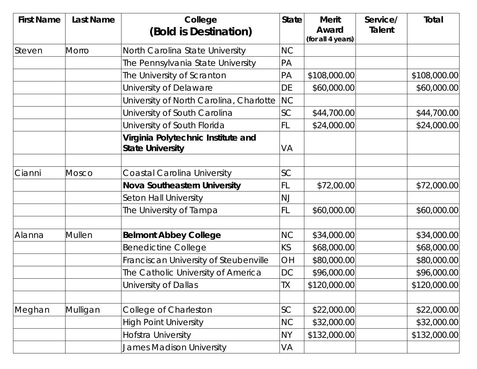| <b>First Name</b> | <b>Last Name</b> | College                                                       | <b>State</b> | <b>Merit</b>               | Service/ | Total        |
|-------------------|------------------|---------------------------------------------------------------|--------------|----------------------------|----------|--------------|
|                   |                  | (Bold is Destination)                                         |              | Award<br>(for all 4 years) | Talent   |              |
| Steven            | Morro            | North Carolina State University                               | <b>NC</b>    |                            |          |              |
|                   |                  | The Pennsylvania State University                             | PA           |                            |          |              |
|                   |                  | The University of Scranton                                    | PA           | \$108,000.00               |          | \$108,000.00 |
|                   |                  | University of Delaware                                        | DE           | \$60,000.00                |          | \$60,000.00  |
|                   |                  | University of North Carolina, Charlotte                       | <b>NC</b>    |                            |          |              |
|                   |                  | University of South Carolina                                  | SC           | \$44,700.00                |          | \$44,700.00  |
|                   |                  | University of South Florida                                   | FL           | \$24,000.00                |          | \$24,000.00  |
|                   |                  | Virginia Polytechnic Institute and<br><b>State University</b> | VA           |                            |          |              |
|                   |                  |                                                               |              |                            |          |              |
| Cianni            | Mosco            | <b>Coastal Carolina University</b>                            | SC           |                            |          |              |
|                   |                  | <b>Nova Southeastern University</b>                           | <b>FL</b>    | \$72,00.00                 |          | \$72,000.00  |
|                   |                  | <b>Seton Hall University</b>                                  | <b>NJ</b>    |                            |          |              |
|                   |                  | The University of Tampa                                       | <b>FL</b>    | \$60,000.00                |          | \$60,000.00  |
| Alanna            | <b>Mullen</b>    | <b>Belmont Abbey College</b>                                  | <b>NC</b>    | \$34,000.00                |          | \$34,000.00  |
|                   |                  | <b>Benedictine College</b>                                    | KS           | \$68,000.00                |          | \$68,000.00  |
|                   |                  | Franciscan University of Steubenville                         | OH           | \$80,000.00                |          | \$80,000.00  |
|                   |                  | The Catholic University of America                            | DC           | \$96,000.00                |          | \$96,000.00  |
|                   |                  | University of Dallas                                          | TX.          | \$120,000.00               |          | \$120,000.00 |
| Meghan            | Mulligan         | College of Charleston                                         | SC           | \$22,000.00                |          | \$22,000.00  |
|                   |                  | <b>High Point University</b>                                  | <b>NC</b>    | \$32,000.00                |          | \$32,000.00  |
|                   |                  | Hofstra University                                            | <b>NY</b>    | \$132,000.00               |          | \$132,000.00 |
|                   |                  | <b>James Madison University</b>                               | VA           |                            |          |              |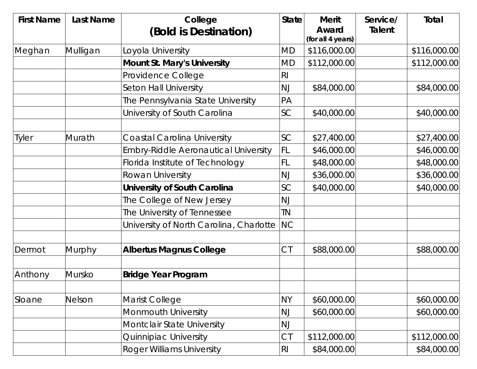| <b>First Name</b> | <b>Last Name</b> | College                                     | <b>State</b>   | <b>Merit</b>               | Service/ | Total        |
|-------------------|------------------|---------------------------------------------|----------------|----------------------------|----------|--------------|
|                   |                  | (Bold is Destination)                       |                | Award<br>(for all 4 years) | Talent   |              |
| Meghan            | Mulligan         | Loyola University                           | <b>MD</b>      | \$116,000.00               |          | \$116,000.00 |
|                   |                  | <b>Mount St. Mary's University</b>          | <b>MD</b>      | \$112,000.00               |          | \$112,000.00 |
|                   |                  | Providence College                          | R <sub>l</sub> |                            |          |              |
|                   |                  | <b>Seton Hall University</b>                | <b>NJ</b>      | \$84,000.00                |          | \$84,000.00  |
|                   |                  | The Pennsylvania State University           | PA             |                            |          |              |
|                   |                  | University of South Carolina                | SC             | \$40,000.00                |          | \$40,000.00  |
| <b>Tyler</b>      | Murath           | <b>Coastal Carolina University</b>          | SC             | \$27,400.00                |          | \$27,400.00  |
|                   |                  | <b>Embry-Riddle Aeronautical University</b> | FL             | \$46,000.00                |          | \$46,000.00  |
|                   |                  | Florida Institute of Technology             | FL             | \$48,000.00                |          | \$48,000.00  |
|                   |                  | Rowan University                            | <b>NJ</b>      | \$36,000.00                |          | \$36,000.00  |
|                   |                  | University of South Carolina                | SC             | \$40,000.00                |          | \$40,000.00  |
|                   |                  | The College of New Jersey                   | <b>NJ</b>      |                            |          |              |
|                   |                  | The University of Tennessee                 | <b>TN</b>      |                            |          |              |
|                   |                  | University of North Carolina, Charlotte     | <b>NC</b>      |                            |          |              |
| Dermot            | Murphy           | <b>Albertus Magnus College</b>              | <b>CT</b>      | \$88,000.00                |          | \$88,000.00  |
| Anthony           | Mursko           | <b>Bridge Year Program</b>                  |                |                            |          |              |
| Sloane            | Nelson           | Marist College                              | NY <sub></sub> | \$60,000.00                |          | \$60,000.00  |
|                   |                  | <b>Monmouth University</b>                  | <b>NJ</b>      | \$60,000.00                |          | \$60,000.00  |
|                   |                  | Montclair State University                  | <b>NJ</b>      |                            |          |              |
|                   |                  | Quinnipiac University                       | <b>CT</b>      | \$112,000.00               |          | \$112,000.00 |
|                   |                  | <b>Roger Williams University</b>            | R              | \$84,000.00                |          | \$84,000.00  |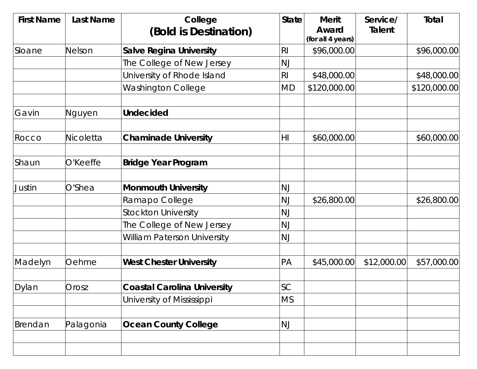| <b>First Name</b> | <b>Last Name</b> | College<br>(Bold is Destination)   | <b>State</b>   | <b>Merit</b><br>Award | Service/<br>Talent | <b>Total</b> |
|-------------------|------------------|------------------------------------|----------------|-----------------------|--------------------|--------------|
|                   |                  |                                    |                | (for all 4 years)     |                    |              |
| Sloane            | Nelson           | <b>Salve Regina University</b>     | R <sub>l</sub> | \$96,000.00           |                    | \$96,000.00  |
|                   |                  | The College of New Jersey          | NJ             |                       |                    |              |
|                   |                  | University of Rhode Island         | R <sub>l</sub> | \$48,000.00           |                    | \$48,000.00  |
|                   |                  | <b>Washington College</b>          | <b>MD</b>      | \$120,000.00          |                    | \$120,000.00 |
| Gavin             | Nguyen           | <b>Undecided</b>                   |                |                       |                    |              |
| Rocco             | <b>Nicoletta</b> | <b>Chaminade University</b>        | HI             | \$60,000.00           |                    | \$60,000.00  |
| Shaun             | O'Keeffe         | <b>Bridge Year Program</b>         |                |                       |                    |              |
| Justin            | O'Shea           | <b>Monmouth University</b>         | <b>NJ</b>      |                       |                    |              |
|                   |                  | Ramapo College                     | <b>NJ</b>      | \$26,800.00           |                    | \$26,800.00  |
|                   |                  | <b>Stockton University</b>         | <b>NJ</b>      |                       |                    |              |
|                   |                  | The College of New Jersey          | <b>NJ</b>      |                       |                    |              |
|                   |                  | <b>William Paterson University</b> | <b>NJ</b>      |                       |                    |              |
| Madelyn           | Oehme            | <b>West Chester University</b>     | PA             | \$45,000.00           | \$12,000.00        | \$57,000.00  |
| Dylan             | Orosz            | <b>Coastal Carolina University</b> | SC             |                       |                    |              |
|                   |                  | University of Mississippi          | <b>MS</b>      |                       |                    |              |
| Brendan           | Palagonia        | <b>Ocean County College</b>        | <b>NJ</b>      |                       |                    |              |
|                   |                  |                                    |                |                       |                    |              |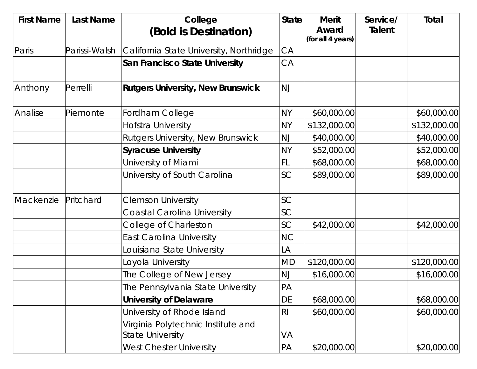| <b>First Name</b> | <b>Last Name</b> | College                                                       | <b>State</b>   | <b>Merit</b>               | Service/ | Total        |
|-------------------|------------------|---------------------------------------------------------------|----------------|----------------------------|----------|--------------|
|                   |                  | (Bold is Destination)                                         |                | Award<br>(for all 4 years) | Talent   |              |
| Paris             | Parissi-Walsh    | California State University, Northridge                       | CA             |                            |          |              |
|                   |                  | San Francisco State University                                | CA             |                            |          |              |
| Anthony           | Perrelli         | <b>Rutgers University, New Brunswick</b>                      | <b>NJ</b>      |                            |          |              |
| Analise           | Piemonte         | Fordham College                                               | <b>NY</b>      | \$60,000.00                |          | \$60,000.00  |
|                   |                  | Hofstra University                                            | <b>NY</b>      | \$132,000.00               |          | \$132,000.00 |
|                   |                  | Rutgers University, New Brunswick                             | <b>NJ</b>      | \$40,000.00                |          | \$40,000.00  |
|                   |                  | <b>Syracuse University</b>                                    | <b>NY</b>      | \$52,000.00                |          | \$52,000.00  |
|                   |                  | University of Miami                                           | FL             | \$68,000.00                |          | \$68,000.00  |
|                   |                  | University of South Carolina                                  | SC             | \$89,000.00                |          | \$89,000.00  |
| Mackenzie         | Pritchard        | <b>Clemson University</b>                                     | SC             |                            |          |              |
|                   |                  | <b>Coastal Carolina University</b>                            | SC             |                            |          |              |
|                   |                  | College of Charleston                                         | <b>SC</b>      | \$42,000.00                |          | \$42,000.00  |
|                   |                  | <b>East Carolina University</b>                               | <b>NC</b>      |                            |          |              |
|                   |                  | Louisiana State University                                    | LA             |                            |          |              |
|                   |                  | Loyola University                                             | MD             | \$120,000.00               |          | \$120,000.00 |
|                   |                  | The College of New Jersey                                     | <b>NJ</b>      | \$16,000.00                |          | \$16,000.00  |
|                   |                  | The Pennsylvania State University                             | PA             |                            |          |              |
|                   |                  | <b>University of Delaware</b>                                 | DE             | \$68,000.00                |          | \$68,000.00  |
|                   |                  | University of Rhode Island                                    | R <sub>l</sub> | \$60,000.00                |          | \$60,000.00  |
|                   |                  | Virginia Polytechnic Institute and<br><b>State University</b> | VA             |                            |          |              |
|                   |                  | <b>West Chester University</b>                                | PA             | \$20,000.00                |          | \$20,000.00  |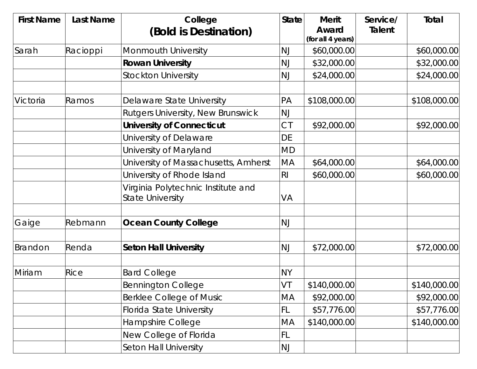| <b>First Name</b> | <b>Last Name</b> | College                                                       | <b>State</b>   | <b>Merit</b>               | Service/ | Total        |
|-------------------|------------------|---------------------------------------------------------------|----------------|----------------------------|----------|--------------|
|                   |                  | (Bold is Destination)                                         |                | Award<br>(for all 4 years) | Talent   |              |
| Sarah             | Racioppi         | <b>Monmouth University</b>                                    | NJ             | \$60,000.00                |          | \$60,000.00  |
|                   |                  | <b>Rowan University</b>                                       | <b>NJ</b>      | \$32,000.00                |          | \$32,000.00  |
|                   |                  | <b>Stockton University</b>                                    | <b>NJ</b>      | \$24,000.00                |          | \$24,000.00  |
| Victoria          | Ramos            | Delaware State University                                     | PA             | \$108,000.00               |          | \$108,000.00 |
|                   |                  | Rutgers University, New Brunswick                             | <b>NJ</b>      |                            |          |              |
|                   |                  | <b>University of Connecticut</b>                              | C <sub>T</sub> | \$92,000.00                |          | \$92,000.00  |
|                   |                  | University of Delaware                                        | DE             |                            |          |              |
|                   |                  | University of Maryland                                        | <b>MD</b>      |                            |          |              |
|                   |                  | University of Massachusetts, Amherst                          | <b>MA</b>      | \$64,000.00                |          | \$64,000.00  |
|                   |                  | University of Rhode Island                                    | R <sub>l</sub> | \$60,000.00                |          | \$60,000.00  |
|                   |                  | Virginia Polytechnic Institute and<br><b>State University</b> | VA             |                            |          |              |
| Gaige             | Rebmann          | <b>Ocean County College</b>                                   | <b>NJ</b>      |                            |          |              |
| Brandon           | Renda            | <b>Seton Hall University</b>                                  | <b>NJ</b>      | \$72,000.00                |          | \$72,000.00  |
| Miriam            | <b>Rice</b>      | <b>Bard College</b>                                           | <b>NY</b>      |                            |          |              |
|                   |                  | <b>Bennington College</b>                                     | VT             | \$140,000.00               |          | \$140,000.00 |
|                   |                  | <b>Berklee College of Music</b>                               | MA             | \$92,000.00                |          | \$92,000.00  |
|                   |                  | Florida State University                                      | FL.            | \$57,776.00                |          | \$57,776.00  |
|                   |                  | Hampshire College                                             | МA             | \$140,000.00               |          | \$140,000.00 |
|                   |                  | New College of Florida                                        | FL.            |                            |          |              |
|                   |                  | Seton Hall University                                         | <b>NJ</b>      |                            |          |              |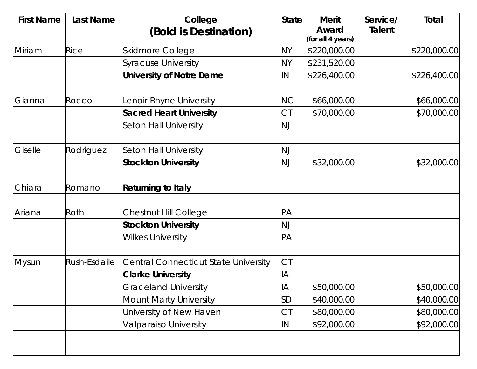| <b>First Name</b> | <b>Last Name</b> | College<br>(Bold is Destination)            | <b>State</b> | <b>Merit</b><br>Award | Service/<br>Talent | Total        |
|-------------------|------------------|---------------------------------------------|--------------|-----------------------|--------------------|--------------|
|                   |                  |                                             |              | (for all 4 years)     |                    |              |
| Miriam            | <b>Rice</b>      | <b>Skidmore College</b>                     | <b>NY</b>    | \$220,000.00          |                    | \$220,000.00 |
|                   |                  | <b>Syracuse University</b>                  | <b>NY</b>    | \$231,520.00          |                    |              |
|                   |                  | <b>University of Notre Dame</b>             | IN           | \$226,400.00          |                    | \$226,400.00 |
| Gianna            | Rocco            | enoir-Rhyne University                      | NC           | \$66,000.00           |                    | \$66,000.00  |
|                   |                  | <b>Sacred Heart University</b>              | <b>CT</b>    | \$70,000.00           |                    | \$70,000.00  |
|                   |                  | <b>Seton Hall University</b>                | <b>NJ</b>    |                       |                    |              |
| Giselle           | Rodriguez        | Seton Hall University                       | <b>NJ</b>    |                       |                    |              |
|                   |                  | <b>Stockton University</b>                  | NJ           | \$32,000.00           |                    | \$32,000.00  |
| Chiara            | Romano           | <b>Returning to Italy</b>                   |              |                       |                    |              |
| Ariana            | Roth             | <b>Chestnut Hill College</b>                | PA           |                       |                    |              |
|                   |                  | <b>Stockton University</b>                  | NJ           |                       |                    |              |
|                   |                  | <b>Wilkes University</b>                    | PA           |                       |                    |              |
| Mysun             | Rush-Esdaile     | <b>Central Connecticut State University</b> | <b>CT</b>    |                       |                    |              |
|                   |                  | <b>Clarke University</b>                    | IA           |                       |                    |              |
|                   |                  | <b>Graceland University</b>                 | IA           | \$50,000.00           |                    | \$50,000.00  |
|                   |                  | <b>Mount Marty University</b>               | <b>SD</b>    | \$40,000.00           |                    | \$40,000.00  |
|                   |                  | University of New Haven                     | CI           | \$80,000.00           |                    | \$80,000.00  |
|                   |                  | <b>Valparaiso University</b>                | IN           | \$92,000.00           |                    | \$92,000.00  |
|                   |                  |                                             |              |                       |                    |              |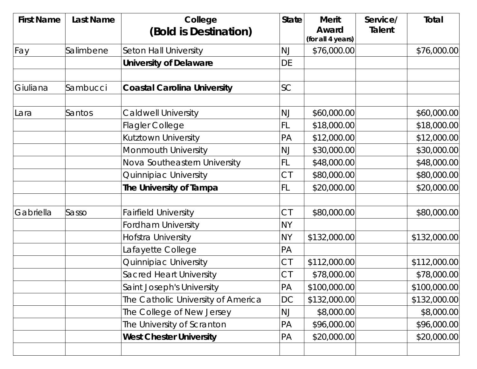| <b>First Name</b> | <b>Last Name</b> | College                            | <b>State</b> | <b>Merit</b><br>Award | Service/<br>Talent | <b>Total</b> |
|-------------------|------------------|------------------------------------|--------------|-----------------------|--------------------|--------------|
|                   |                  | (Bold is Destination)              |              | (for all 4 years)     |                    |              |
| Fay               | Salimbene        | Seton Hall University              | NJ           | \$76,000.00           |                    | \$76,000.00  |
|                   |                  | <b>University of Delaware</b>      | DE           |                       |                    |              |
| Giuliana          | Sambucci         | <b>Coastal Carolina University</b> | SC           |                       |                    |              |
| Lara              | Santos           | <b>Caldwell University</b>         | <b>NJ</b>    | \$60,000.00           |                    | \$60,000.00  |
|                   |                  | <b>Flagler College</b>             | FL           | \$18,000.00           |                    | \$18,000.00  |
|                   |                  | Kutztown University                | PA           | \$12,000.00           |                    | \$12,000.00  |
|                   |                  | Monmouth University                | <b>NJ</b>    | \$30,000.00           |                    | \$30,000.00  |
|                   |                  | Nova Southeastern University       | FL           | \$48,000.00           |                    | \$48,000.00  |
|                   |                  | Quinnipiac University              | CI           | \$80,000.00           |                    | \$80,000.00  |
|                   |                  | The University of Tampa            | FL.          | \$20,000.00           |                    | \$20,000.00  |
| Gabriella         | Sasso            | <b>Fairfield University</b>        | <b>CT</b>    | \$80,000.00           |                    | \$80,000.00  |
|                   |                  | <b>Fordham University</b>          | <b>NY</b>    |                       |                    |              |
|                   |                  | Hofstra University                 | <b>NY</b>    | \$132,000.00          |                    | \$132,000.00 |
|                   |                  | Lafayette College                  | PA           |                       |                    |              |
|                   |                  | Quinnipiac University              | CI           | \$112,000.00          |                    | \$112,000.00 |
|                   |                  | <b>Sacred Heart University</b>     | CI           | \$78,000.00           |                    | \$78,000.00  |
|                   |                  | Saint Joseph's University          | PA           | \$100,000.00          |                    | \$100,000.00 |
|                   |                  | The Catholic University of America | DC           | \$132,000.00          |                    | \$132,000.00 |
|                   |                  | The College of New Jersey          | <b>NJ</b>    | \$8,000.00            |                    | \$8,000.00   |
|                   |                  | The University of Scranton         | PA           | \$96,000.00           |                    | \$96,000.00  |
|                   |                  | <b>West Chester University</b>     | PA           | \$20,000.00           |                    | \$20,000.00  |
|                   |                  |                                    |              |                       |                    |              |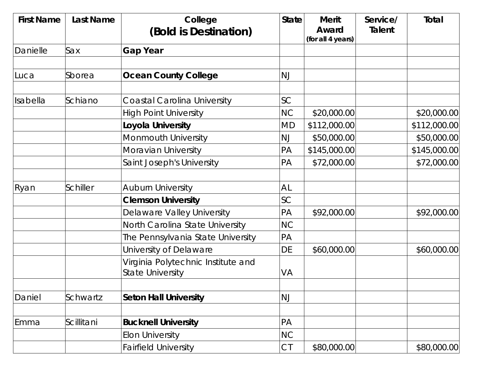| <b>First Name</b> | <b>Last Name</b> | College<br>(Bold is Destination)                              | <b>State</b> | <b>Merit</b><br>Award | Service/<br><b>Talent</b> | Total        |
|-------------------|------------------|---------------------------------------------------------------|--------------|-----------------------|---------------------------|--------------|
| Danielle          | Sax              | <b>Gap Year</b>                                               |              | (for all 4 years)     |                           |              |
|                   |                  |                                                               |              |                       |                           |              |
| Luca              | Sborea           | <b>Ocean County College</b>                                   | <b>NJ</b>    |                       |                           |              |
| Isabella          | Schiano          | <b>Coastal Carolina University</b>                            | <b>SC</b>    |                       |                           |              |
|                   |                  | <b>High Point University</b>                                  | <b>NC</b>    | \$20,000.00           |                           | \$20,000.00  |
|                   |                  | Loyola University                                             | MD           | \$112,000.00          |                           | \$112,000.00 |
|                   |                  | Monmouth University                                           | <b>NJ</b>    | \$50,000.00           |                           | \$50,000.00  |
|                   |                  | Moravian University                                           | PA           | \$145,000.00          |                           | \$145,000.00 |
|                   |                  | Saint Joseph's University                                     | PA           | \$72,000.00           |                           | \$72,000.00  |
| Ryan              | <b>Schiller</b>  | <b>Auburn University</b>                                      | AL           |                       |                           |              |
|                   |                  | <b>Clemson University</b>                                     | SC           |                       |                           |              |
|                   |                  | Delaware Valley University                                    | PA           | \$92,000.00           |                           | \$92,000.00  |
|                   |                  | North Carolina State University                               | <b>NC</b>    |                       |                           |              |
|                   |                  | The Pennsylvania State University                             | PA           |                       |                           |              |
|                   |                  | University of Delaware                                        | DE           | \$60,000.00           |                           | \$60,000.00  |
|                   |                  | Virginia Polytechnic Institute and<br><b>State University</b> | VA           |                       |                           |              |
| Daniel            | Schwartz         | <b>Seton Hall University</b>                                  | NJ           |                       |                           |              |
| Emma              | Scillitani       | <b>Bucknell University</b>                                    | PA           |                       |                           |              |
|                   |                  | <b>Elon University</b>                                        | <b>NC</b>    |                       |                           |              |
|                   |                  | <b>Fairfield University</b>                                   | CI           | \$80,000.00           |                           | \$80,000.00  |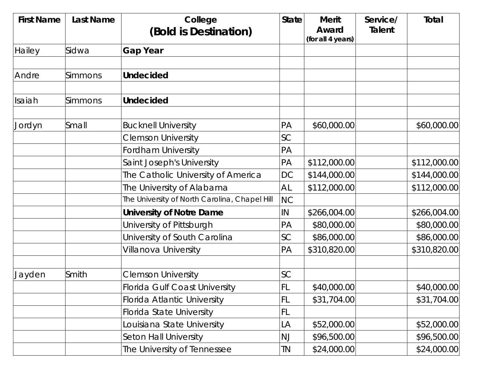| <b>First Name</b> | <b>Last Name</b> | College                                       | <b>State</b> | <b>Merit</b>               | Service/      | Total        |
|-------------------|------------------|-----------------------------------------------|--------------|----------------------------|---------------|--------------|
|                   |                  | (Bold is Destination)                         |              | Award<br>(for all 4 years) | <b>Talent</b> |              |
| Hailey            | Sidwa            | <b>Gap Year</b>                               |              |                            |               |              |
|                   |                  |                                               |              |                            |               |              |
| Andre             | <b>Simmons</b>   | <b>Undecided</b>                              |              |                            |               |              |
| Isaiah            | <b>Simmons</b>   | <b>Undecided</b>                              |              |                            |               |              |
|                   |                  |                                               |              |                            |               |              |
| Jordyn            | Small            | <b>Bucknell University</b>                    | PA           | \$60,000.00                |               | \$60,000.00  |
|                   |                  | <b>Clemson University</b>                     | SC           |                            |               |              |
|                   |                  | <b>Fordham University</b>                     | PA           |                            |               |              |
|                   |                  | Saint Joseph's University                     | PA           | \$112,000.00               |               | \$112,000.00 |
|                   |                  | The Catholic University of America            | DC           | \$144,000.00               |               | \$144,000.00 |
|                   |                  | The University of Alabama                     | AL           | \$112,000.00               |               | \$112,000.00 |
|                   |                  | The University of North Carolina, Chapel Hill | <b>NC</b>    |                            |               |              |
|                   |                  | <b>University of Notre Dame</b>               | IN           | \$266,004.00               |               | \$266,004.00 |
|                   |                  | University of Pittsburgh                      | PA           | \$80,000.00                |               | \$80,000.00  |
|                   |                  | University of South Carolina                  | <b>SC</b>    | \$86,000.00                |               | \$86,000.00  |
|                   |                  | <b>Villanova University</b>                   | PA           | \$310,820.00               |               | \$310,820.00 |
| Jayden            | Smith            | <b>Clemson University</b>                     | SC           |                            |               |              |
|                   |                  | <b>Florida Gulf Coast University</b>          | FL.          | \$40,000.00                |               | \$40,000.00  |
|                   |                  | Florida Atlantic University                   | <b>FL</b>    | \$31,704.00                |               | \$31,704.00  |
|                   |                  | Florida State University                      | FL           |                            |               |              |
|                   |                  | Louisiana State University                    | LA           | \$52,000.00                |               | \$52,000.00  |
|                   |                  | Seton Hall University                         | <b>NJ</b>    | \$96,500.00                |               | \$96,500.00  |
|                   |                  | The University of Tennessee                   | ΤN           | \$24,000.00                |               | \$24,000.00  |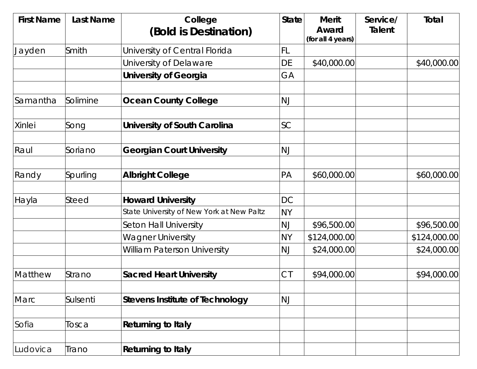| <b>First Name</b> | <b>Last Name</b> | College                                   | <b>State</b> | <b>Merit</b>               | Service/      | Total        |
|-------------------|------------------|-------------------------------------------|--------------|----------------------------|---------------|--------------|
|                   |                  | (Bold is Destination)                     |              | Award<br>(for all 4 years) | <b>Talent</b> |              |
| Jayden            | Smith            | University of Central Florida             | FL.          |                            |               |              |
|                   |                  | University of Delaware                    | DE           | \$40,000.00                |               | \$40,000.00  |
|                   |                  | <b>University of Georgia</b>              | GA           |                            |               |              |
| lSamantha         | Solimine         | <b>Ocean County College</b>               | <b>NJ</b>    |                            |               |              |
| Xinlei            | Song             | University of South Carolina              | SC           |                            |               |              |
| Raul              | Soriano          | <b>Georgian Court University</b>          | <b>NJ</b>    |                            |               |              |
| Randy             | Spurling         | <b>Albright College</b>                   | PA           | \$60,000.00                |               | \$60,000.00  |
| Hayla             | Steed            | <b>Howard University</b>                  | DC           |                            |               |              |
|                   |                  | State University of New York at New Paltz | <b>NY</b>    |                            |               |              |
|                   |                  | <b>Seton Hall University</b>              | <b>NJ</b>    | \$96,500.00                |               | \$96,500.00  |
|                   |                  | <b>Wagner University</b>                  | <b>NY</b>    | \$124,000.00               |               | \$124,000.00 |
|                   |                  | <b>William Paterson University</b>        | <b>NJ</b>    | \$24,000.00                |               | \$24,000.00  |
| Matthew           | Strano           | <b>Sacred Heart University</b>            | <b>CT</b>    | \$94,000.00                |               | \$94,000.00  |
| Marc              | Sulsenti         | <b>Stevens Institute of Technology</b>    | <b>NJ</b>    |                            |               |              |
| Sofia             | Tosca            | <b>Returning to Italy</b>                 |              |                            |               |              |
| Ludovica          | Trano            | <b>Returning to Italy</b>                 |              |                            |               |              |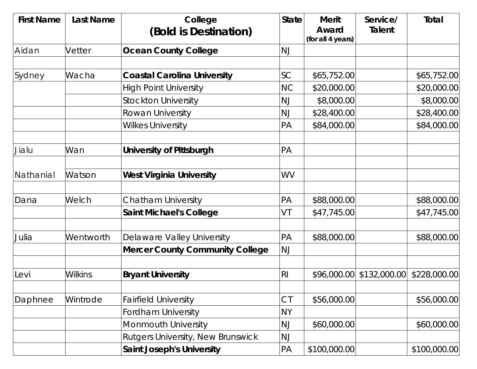| <b>First Name</b> | <b>Last Name</b> | College                                | <b>State</b>   | <b>Merit</b><br>Award | Service/<br><b>Talent</b> | Total        |
|-------------------|------------------|----------------------------------------|----------------|-----------------------|---------------------------|--------------|
|                   |                  | (Bold is Destination)                  |                | (for all 4 years)     |                           |              |
| Aidan             | Vetter           | <b>Ocean County College</b>            | <b>NJ</b>      |                       |                           |              |
|                   |                  |                                        |                |                       |                           |              |
| Sydney            | Wacha            | <b>Coastal Carolina University</b>     | SC             | \$65,752.00           |                           | \$65,752.00  |
|                   |                  | <b>High Point University</b>           | <b>NC</b>      | \$20,000.00           |                           | \$20,000.00  |
|                   |                  | <b>Stockton University</b>             | NJ             | \$8,000.00            |                           | \$8,000.00   |
|                   |                  | Rowan University                       | <b>NJ</b>      | \$28,400.00           |                           | \$28,400.00  |
|                   |                  | <b>Wilkes University</b>               | PA             | \$84,000.00           |                           | \$84,000.00  |
| Jialu             | Wan              | <b>University of Pittsburgh</b>        | PA             |                       |                           |              |
| Nathanial         | Watson           | <b>West Virginia University</b>        | WV             |                       |                           |              |
| Dana              | Welch            | <b>Chatham University</b>              | PA             | \$88,000.00           |                           | \$88,000.00  |
|                   |                  | <b>Saint Michael's College</b>         | VT             | \$47,745.00           |                           | \$47,745.00  |
| Julia             | Wentworth        | Delaware Valley University             | PA             | \$88,000.00           |                           | \$88,000.00  |
|                   |                  | <b>Mercer County Community College</b> | NJ             |                       |                           |              |
| Levi              | <b>Wilkins</b>   | <b>Bryant University</b>               | R <sub>l</sub> |                       | \$96,000.00 \$132,000.00  | \$228,000.00 |
| Daphnee           | Wintrode         | <b>Fairfield University</b>            | CI             | \$56,000.00           |                           | \$56,000.00  |
|                   |                  | <b>Fordham University</b>              | <b>NY</b>      |                       |                           |              |
|                   |                  | Monmouth University                    | <b>NJ</b>      | \$60,000.00           |                           | \$60,000.00  |
|                   |                  | Rutgers University, New Brunswick      | <b>NJ</b>      |                       |                           |              |
|                   |                  | <b>Saint Joseph's University</b>       | PA             | \$100,000.00          |                           | \$100,000.00 |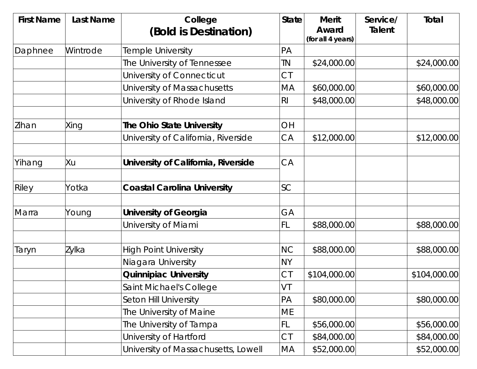| <b>First Name</b> | <b>Last Name</b> | College<br>(Bold is Destination)    | <b>State</b> | <b>Merit</b><br>Award | Service/<br><b>Talent</b> | Total        |
|-------------------|------------------|-------------------------------------|--------------|-----------------------|---------------------------|--------------|
|                   |                  |                                     |              | (for all 4 years)     |                           |              |
| Daphnee           | Wintrode         | <b>Femple University</b>            | PA           |                       |                           |              |
|                   |                  | The University of Tennessee         | <b>TN</b>    | \$24,000.00           |                           | \$24,000.00  |
|                   |                  | University of Connecticut           | CI           |                       |                           |              |
|                   |                  | University of Massachusetts         | MA           | \$60,000.00           |                           | \$60,000.00  |
|                   |                  | University of Rhode Island          | R            | \$48,000.00           |                           | \$48,000.00  |
| Zihan             | <b>Xing</b>      | <b>The Ohio State University</b>    | OH           |                       |                           |              |
|                   |                  | University of California, Riverside | CA           | \$12,000.00           |                           | \$12,000.00  |
| Yihang            | Xu               | University of California, Riverside | CA           |                       |                           |              |
| Riley             | Yotka            | <b>Coastal Carolina University</b>  | SC           |                       |                           |              |
| Marra             | Young            | <b>University of Georgia</b>        | GA           |                       |                           |              |
|                   |                  | University of Miami                 | <b>FL</b>    | \$88,000.00           |                           | \$88,000.00  |
| Taryn             | Zylka            | <b>High Point University</b>        | <b>NC</b>    | \$88,000.00           |                           | \$88,000.00  |
|                   |                  | Niagara University                  | <b>NY</b>    |                       |                           |              |
|                   |                  | <b>Quinnipiac University</b>        | <b>CT</b>    | \$104,000.00          |                           | \$104,000.00 |
|                   |                  | Saint Michael's College             | VT           |                       |                           |              |
|                   |                  | Seton Hill University               | PA           | \$80,000.00           |                           | \$80,000.00  |
|                   |                  | The University of Maine             | ME           |                       |                           |              |
|                   |                  | The University of Tampa             | FL           | \$56,000.00           |                           | \$56,000.00  |
|                   |                  | University of Hartford              | CI           | \$84,000.00           |                           | \$84,000.00  |
|                   |                  | University of Massachusetts, Lowell | MA           | \$52,000.00           |                           | \$52,000.00  |